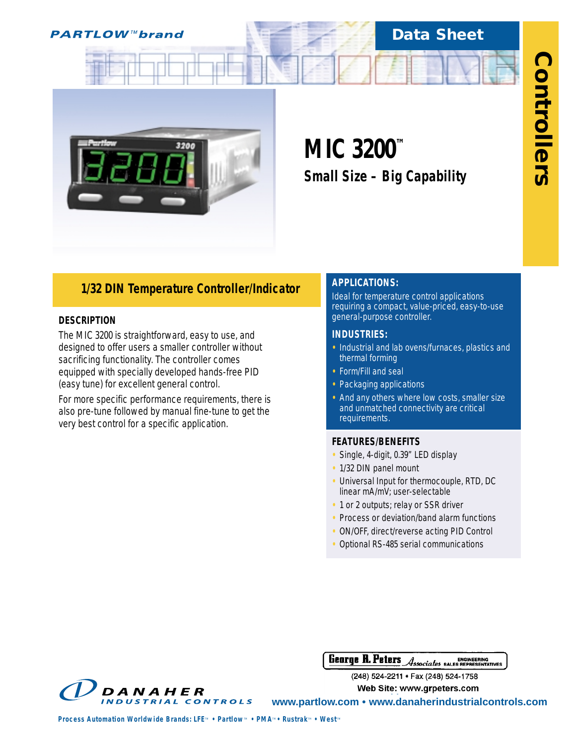

# **Data Sheet**



# **MIC 3200™** *Small Size – Big Capability*

# *1/32 DIN Temperature Controller/Indicator*

## **DESCRIPTION**

The MIC 3200 is straightforward, easy to use, and designed to offer users a smaller controller without sacrificing functionality. The controller comes equipped with specially developed hands-free PID (easy tune) for excellent general control.

For more specific performance requirements, there is also pre-tune followed by manual fine-tune to get the very best control for a specific application.

# **APPLICATIONS:**

Ideal for temperature control applications requiring a compact, value-priced, easy-to-use general-purpose controller.

## **INDUSTRIES:**

- **•** Industrial and lab ovens/furnaces, plastics and thermal forming
- **•** Form/Fill and seal
- **•** Packaging applications
- **•** And any others where low costs, smaller size and unmatched connectivity are critical requirements.

## **FEATURES/BENEFITS**

- **•** Single, 4-digit, 0.39" LED display
- **•** 1/32 DIN panel mount
- **•** Universal Input for thermocouple, RTD, DC linear mA/mV; user-selectable
- **•** 1 or 2 outputs; relay or SSR driver
- **•** Process or deviation/band alarm functions
- **•** ON/OFF, direct/reverse acting PID Control
- **•** Optional RS-485 serial communications

**George R. Peters** ENGINEERING<br>Associates bales representatives

(248) 524-2211 · Fax (248) 524-1758 **Web Site: www.grpeters.com** 

DANAHER **INDUSTRIAL CONTROLS** 

**www.partlow.com • www.danaherindustrialcontrols.com**

*Process Automation Worldwide Brands: LFE<sup><i>M*</sup> • Partlow<sup>*M*</sup> • PMA<sup>*M*</sup> • Rustrak<sup>*M*</sup> • West<sup>*M*</sup>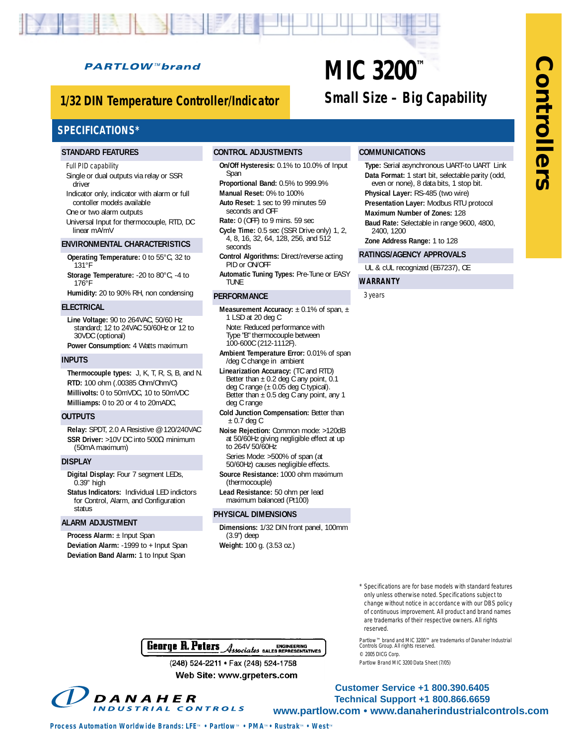# **PARTLOW™brand**

# *1/32 DIN Temperature Controller/Indicator*

# **SPECIFICATIONS\***

#### **STANDARD FEATURES**

#### Full PID capability

Single or dual outputs via relay or SSR driver

Indicator only, indicator with alarm or full contoller models available

One or two alarm outputs

Universal Input for thermocouple, RTD, DC linear mA/mV

#### **ENVIRONMENTAL CHARACTERISTICS**

- **Operating Temperature:** 0 to 55°C, 32 to 131°F
- **Storage Temperature:** -20 to 80°C, -4 to 176°F
- **Humidity:** 20 to 90% RH, non condensing

#### **ELECTRICAL**

**Line Voltage:** 90 to 264VAC, 50/60 Hz standard; 12 to 24VAC 50/60Hz or 12 to 30VDC (optional)

**Power Consumption:** 4 Watts maximum

#### **INPUTS**

**Thermocouple types:** J, K, T, R, S, B, and N. **RTD:** 100 ohm (.00385 Ohm/Ohm/C) **Millivolts:** 0 to 50mVDC, 10 to 50mVDC **Milliamps:** 0 to 20 or 4 to 20mADC,

#### **OUTPUTS**

**Relay:** SPDT, 2.0 A Resistive @ 120/240VAC **SSR Driver:** >10V DC into 500Ω minimum (50mA maximum)

#### **DISPLAY**

**Digital Display:** Four 7 segment LEDs, 0.39" high

**Status Indicators:** Individual LED indictors for Control, Alarm, and Configuration status

#### **ALARM ADJUSTMENT**

**Process Alarm:** ± Input Span **Deviation Alarm:** -1999 to + Input Span **Deviation Band Alarm:** 1 to Input Span

#### **CONTROL ADJUSTMENTS**

**On/Off Hysteresis:** 0.1% to 10.0% of Input Span

**Proportional Band:** 0.5% to 999.9% **Manual Reset:** 0% to 100%

**Auto Reset:** 1 sec to 99 minutes 59 seconds and OFF

**Rate:** 0 (OFF) to 9 mins. 59 sec

**Cycle Time:** 0.5 sec (SSR Drive only) 1, 2, 4, 8, 16, 32, 64, 128, 256, and 512 seconds

**Control Algorithms:** Direct/reverse acting PID or ON/OFF

**Automatic Tuning Types:** Pre-Tune or EASY TUNE

#### **PERFORMANCE**

- **Measurement Accuracy:** ± 0.1% of span, ± 1 LSD at 20 deg C
- Note: Reduced performance with Type "B" thermocouple between 100-600C (212-1112F).
- **Ambient Temperature Error:** 0.01% of span /deg C change in ambient
- **Linearization Accuracy:** (TC and RTD) Better than  $\pm$  0.2 deg C any point, 0.1 deg C range  $(\pm 0.05$  deg C typical). Better than  $\pm 0.5$  deg C any point, any 1 deg C range
- **Cold Junction Compensation:** Better than  $± 0.7$  deg C
- **Noise Rejection:** Common mode: >120dB at 50/60Hz giving negligible effect at up to 264V 50/60Hz
- Series Mode: >500% of span (at 50/60Hz) causes negligible effects.
- **Source Resistance:** 1000 ohm maximum (thermocouple)
- **Lead Resistance:** 50 ohm per lead maximum balanced (Pt100)

#### **PHYSICAL DIMENSIONS**

**Dimensions:** 1/32 DIN front panel, 100mm (3.9") deep **Weight:** 100 g. (3.53 oz.)

# **MIC 3200™** *Small Size – Big Capability*

#### **COMMUNICATIONS**

**Type:** Serial asynchronous UART-to UART Link **Data Format:** 1 start bit, selectable parity (odd, even or none), 8 data bits, 1 stop bit. **Physical Layer:** RS-485 (two wire)

- **Presentation Layer:** Modbus RTU protocol
- **Maximum Number of Zones:** 128
- **Baud Rate:** Selectable in range 9600, 4800, 2400, 1200

**Zone Address Range:** 1 to 128

#### **RATINGS/AGENCY APPROVALS**

UL & cUL recognized (E67237), CE

#### **WARRANTY**

3 years

\* Specifications are for base models with standard features only unless otherwise noted. Specifications subject to change without notice in accordance with our DBS policy of continuous improvement. All product and brand names are trademarks of their respective owners. All rights reserved.

Partlow™ brand and MIC 3200™ are trademarks of Danaher Industrial Controls Group. All rights reserved. © 2005 DICG Corp. Partlow Brand MIC 3200 Data Sheet (7/05)

George R. Peters Associates SALES ENGINEERING

(248) 524-2211 · Fax (248) 524-1758 Web Site: www.grpeters.com

DANAHER **INDUSTRIAL CONTROLS** 

**Customer Service +1 800.390.6405 Technical Support +1 800.866.6659 www.partlow.com • www.danaherindustrialcontrols.com**

*Process Automation Worldwide Brands: LFE<sup><i>M*</sup> • Partlow<sup>*M*</sup> • PMA<sup>*M*</sup> • Rustrak<sup>*M*</sup> • West*M* 

**ControllersControllers**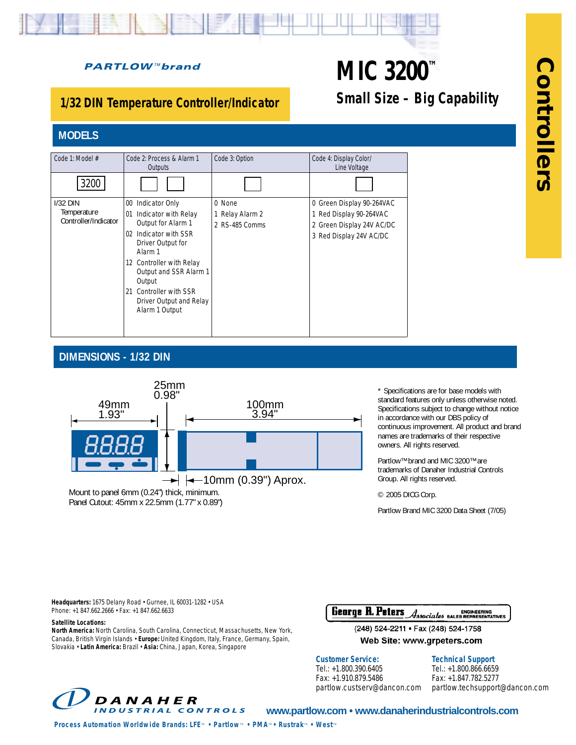# **PARTLOW™brand**

# *1/32 DIN Temperature Controller/Indicator*

# **MODELS**

| Code 1: Model #                                   | Code 2: Process & Alarm 1<br>Outputs                                   | Code 3: Option  | Code 4: Display Color/<br>Line Voltage |
|---------------------------------------------------|------------------------------------------------------------------------|-----------------|----------------------------------------|
| 3200                                              |                                                                        |                 |                                        |
| $1/32$ DIN<br>Temperature<br>Controller/Indicator | Indicator Only<br>00                                                   | $0$ None        | 0 Green Display 90-264VAC              |
|                                                   | Indicator with Relay<br>01                                             | 1 Relay Alarm 2 | 1 Red Display 90-264VAC                |
|                                                   | Output for Alarm 1                                                     | 2 RS-485 Comms  | 2 Green Display 24V AC/DC              |
|                                                   | Indicator with SSR<br>02<br>Driver Output for<br>Alarm 1               |                 | 3 Red Display 24V AC/DC                |
|                                                   | 12 Controller with Relay<br>Output and SSR Alarm 1<br>Output           |                 |                                        |
|                                                   | Controller with SSR<br>21<br>Driver Output and Relay<br>Alarm 1 Output |                 |                                        |
|                                                   |                                                                        |                 |                                        |

# **DIMENSIONS - 1/32 DIN**



Mount to panel 6mm (0.24") thick, minimum. Panel Cutout: 45mm x 22.5mm (1.77" x 0.89")

\* Specifications are for base models with standard features only unless otherwise noted. Specifications subject to change without notice in accordance with our DBS policy of continuous improvement. All product and brand names are trademarks of their respective owners. All rights reserved.

Partlow™ brand and MIC 3200™ are trademarks of Danaher Industrial Controls Group. All rights reserved.

© 2005 DICG Corp.

**MIC 3200™**

*Small Size – Big Capability*

Partlow Brand MIC 3200 Data Sheet (7/05)

**Headquarters:** 1675 Delany Road • Gurnee, IL 60031-1282 • USA Phone: +1 847.662.2666 • Fax: +1 847.662.6633

**Satellite Locations:** 

**North America:** North Carolina, South Carolina, Connecticut, Massachusetts, New York, Canada, British Virgin Islands • **Europe:** United Kingdom, Italy, France, Germany, Spain, Slovakia • **Latin America:** Brazil • **Asia:** China, Japan, Korea, Singapore

George R. Peters Associates SALES REPRESENTATIVES

(248) 524-2211 · Fax (248) 524-1758 Web Site: www.grpeters.com

#### **Customer Service:**

Tel.: +1.800.390.6405 Fax: +1.910.879.5486 partlow.custserv@dancon.com

**Technical Support** Tel.: +1.800.866.6659 Fax: +1.847.782.5277 partlow.techsupport@dancon.com



**www.partlow.com • www.danaherindustrialcontrols.com**

*Process Automation Worldwide Brands: LFE<sup><i>m*</sup> • Partlow<sup>*m*</sup> • PMA<sup>*m*</sup> • Rustrak<sup>*m*</sup> • West<sup>*m*</sup>